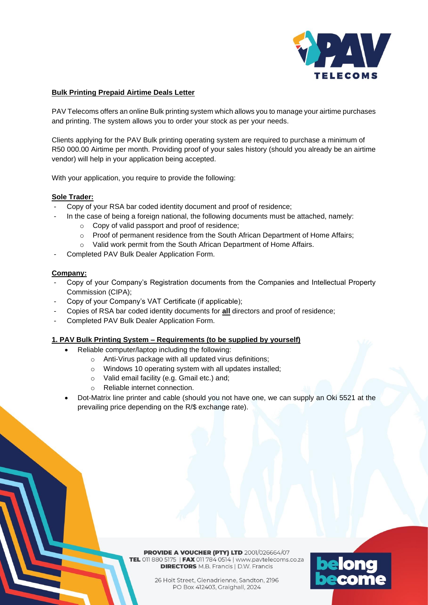

## **Bulk Printing Prepaid Airtime Deals Letter**

PAV Telecoms offers an online Bulk printing system which allows you to manage your airtime purchases and printing. The system allows you to order your stock as per your needs.

Clients applying for the PAV Bulk printing operating system are required to purchase a minimum of R50 000.00 Airtime per month. Providing proof of your sales history (should you already be an airtime vendor) will help in your application being accepted.

With your application, you require to provide the following:

## **Sole Trader:**

- Copy of your RSA bar coded identity document and proof of residence;
- In the case of being a foreign national, the following documents must be attached, namely:
	- o Copy of valid passport and proof of residence;
	- o Proof of permanent residence from the South African Department of Home Affairs;
	- o Valid work permit from the South African Department of Home Affairs.
- Completed PAV Bulk Dealer Application Form.

## **Company:**

- Copy of your Company's Registration documents from the Companies and Intellectual Property Commission (CIPA);
- Copy of your Company's VAT Certificate (if applicable);
- Copies of RSA bar coded identity documents for **all** directors and proof of residence;
- Completed PAV Bulk Dealer Application Form.

#### **1. PAV Bulk Printing System – Requirements (to be supplied by yourself)**

- Reliable computer/laptop including the following:
	- o Anti-Virus package with all updated virus definitions;
	- o Windows 10 operating system with all updates installed;
	- o Valid email facility (e.g. Gmail etc.) and;
	- o Reliable internet connection.
- Dot-Matrix line printer and cable (should you not have one, we can supply an Oki 5521 at the prevailing price depending on the R/\$ exchange rate).

**PROVIDE A VOUCHER (PTY) LTD 2001/026664/07** TEL 011 880 5175 | FAX 011 784 0514 | www.pavtelecoms.co.za **DIRECTORS** M.B. Francis | D.W. Francis